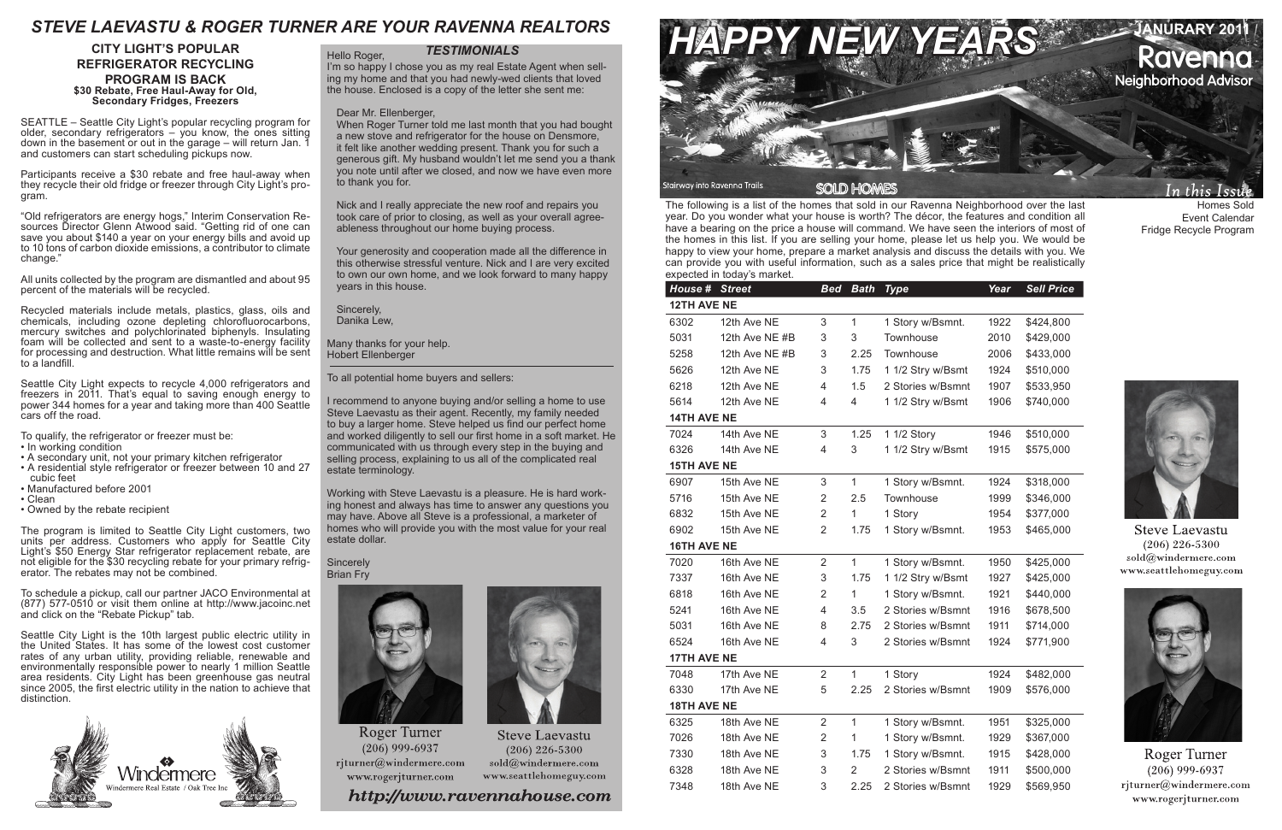The following is a list of the homes that sold in our Ravenna Neighborhood over the last year. Do you wonder what your house is worth? The décor, the features and condition all have a bearing on the price a house will command. We have seen the interiors of most of the homes in this list. If you are selling your home, please let us help you. We would be happy to view your home, prepare a market analysis and discuss the details with you. We can provide you with useful information, such as a sales price that might be realistically expected in today's market.

### *TESTIMONIALS*

Homes Sold Event Calendar Fridge Recycle Program



**Steve Laevastu**  $(206)$  226-5300 sold@windermere.com www.seattlehomeguy.com



Roger Turner  $(206)$  999-6937  $riturner@windermere.com$ www.rogerjturner.com

Hello Roger, I'm so happy I chose you as my real Estate Agent when selling my home and that you had newly-wed clients that loved the house. Enclosed is a copy of the letter she sent me:

Dear Mr. Ellenberger,

When Roger Turner told me last month that you had bought a new stove and refrigerator for the house on Densmore, it felt like another wedding present. Thank you for such a generous gift. My husband wouldn't let me send you a thank you note until after we closed, and now we have even more to thank you for.

### **Sincerely** Brian Fry



**Roger Turner**  $(206)$  999-6937 rjturner@windermere.com www.rogerjturner.com



**Steve Laevastu**  $(206)$  226-5300  $sold@$ windermere.com www.seattlehomeguy.com

http://www.ravennahouse.com

Nick and I really appreciate the new roof and repairs you took care of prior to closing, as well as your overall agreeableness throughout our home buying process.

Your generosity and cooperation made all the difference in this otherwise stressful venture. Nick and I are very excited to own our own home, and we look forward to many happy years in this house.

Sincerely, Danika Lew,

Many thanks for your help. Hobert Ellenberger

To all potential home buyers and sellers:

I recommend to anyone buying and/or selling a home to use Steve Laevastu as their agent. Recently, my family needed to buy a larger home. Steve helped us find our perfect home and worked diligently to sell our first home in a soft market. He communicated with us through every step in the buying and selling process, explaining to us all of the complicated real estate terminology.



Working with Steve Laevastu is a pleasure. He is hard working honest and always has time to answer any questions you may have. Above all Steve is a professional, a marketer of homes who will provide you with the most value for your real estate dollar.

| House #            | <b>Street</b>  | <b>Bed</b>     | <b>Bath</b>  | <b>Type</b>       | Year | <b>Sell Price</b> |  |
|--------------------|----------------|----------------|--------------|-------------------|------|-------------------|--|
| <b>12TH AVE NE</b> |                |                |              |                   |      |                   |  |
| 6302               | 12th Ave NE    | 3              | $\mathbf{1}$ | 1 Story w/Bsmnt.  | 1922 | \$424,800         |  |
| 5031               | 12th Ave NE #B | 3              | 3            | Townhouse         | 2010 | \$429,000         |  |
| 5258               | 12th Ave NE #B | 3              | 2.25         | Townhouse         | 2006 | \$433,000         |  |
| 5626               | 12th Ave NE    | 3              | 1.75         | 1 1/2 Stry w/Bsmt | 1924 | \$510,000         |  |
| 6218               | 12th Ave NE    | 4              | 1.5          | 2 Stories w/Bsmnt | 1907 | \$533,950         |  |
| 5614               | 12th Ave NE    | 4              | 4            | 1 1/2 Stry w/Bsmt | 1906 | \$740,000         |  |
| <b>14TH AVE NE</b> |                |                |              |                   |      |                   |  |
| 7024               | 14th Ave NE    | 3              | 1.25         | 1 1/2 Story       | 1946 | \$510,000         |  |
| 6326               | 14th Ave NE    | 4              | 3            | 1 1/2 Stry w/Bsmt | 1915 | \$575,000         |  |
| <b>15TH AVE NE</b> |                |                |              |                   |      |                   |  |
| 6907               | 15th Ave NE    | 3              | $\mathbf{1}$ | 1 Story w/Bsmnt.  | 1924 | \$318,000         |  |
| 5716               | 15th Ave NE    | $\overline{2}$ | 2.5          | Townhouse         | 1999 | \$346,000         |  |
| 6832               | 15th Ave NE    | $\overline{2}$ | 1            | 1 Story           | 1954 | \$377,000         |  |
| 6902               | 15th Ave NE    | $\overline{2}$ | 1.75         | 1 Story w/Bsmnt.  | 1953 | \$465,000         |  |
| <b>16TH AVE NE</b> |                |                |              |                   |      |                   |  |
| 7020               | 16th Ave NE    | $\overline{2}$ | $\mathbf{1}$ | 1 Story w/Bsmnt.  | 1950 | \$425,000         |  |
| 7337               | 16th Ave NE    | 3              | 1.75         | 1 1/2 Stry w/Bsmt | 1927 | \$425,000         |  |
| 6818               | 16th Ave NE    | $\overline{2}$ | 1            | 1 Story w/Bsmnt.  | 1921 | \$440,000         |  |
| 5241               | 16th Ave NE    | 4              | 3.5          | 2 Stories w/Bsmnt | 1916 | \$678,500         |  |
| 5031               | 16th Ave NE    | 8              | 2.75         | 2 Stories w/Bsmnt | 1911 | \$714,000         |  |
| 6524               | 16th Ave NE    | 4              | 3            | 2 Stories w/Bsmnt | 1924 | \$771,900         |  |
| <b>17TH AVE NE</b> |                |                |              |                   |      |                   |  |
| 7048               | 17th Ave NE    | $\overline{2}$ | $\mathbf{1}$ | 1 Story           | 1924 | \$482,000         |  |
| 6330               | 17th Ave NE    | 5              | 2.25         | 2 Stories w/Bsmnt | 1909 | \$576,000         |  |
| <b>18TH AVE NE</b> |                |                |              |                   |      |                   |  |
| 6325               | 18th Ave NE    | $\overline{2}$ | $\mathbf{1}$ | 1 Story w/Bsmnt.  | 1951 | \$325,000         |  |
| 7026               | 18th Ave NE    | $\overline{2}$ | 1            | 1 Story w/Bsmnt.  | 1929 | \$367,000         |  |
| 7330               | 18th Ave NE    | 3              | 1.75         | 1 Story w/Bsmnt.  | 1915 | \$428,000         |  |
| 6328               | 18th Ave NE    | 3              | 2            | 2 Stories w/Bsmnt | 1911 | \$500,000         |  |
| 7348               | 18th Ave NE    | 3              | 2.25         | 2 Stories w/Bsmnt | 1929 | \$569,950         |  |

# **REFRIGERATOR RECYCLING PROGRAM IS BACK \$30 Rebate, Free Haul-Away for Old, Secondary Fridges, Freezers**

SEATTLE – Seattle City Light's popular recycling program for older, secondary refrigerators – you know, the ones sitting down in the basement or out in the garage – will return Jan. 1 and customers can start scheduling pickups now.

Participants receive a \$30 rebate and free haul-away when they recycle their old fridge or freezer through City Light's pro- gram.

"Old refrigerators are energy hogs," Interim Conservation Re- sources Director Glenn Atwood said. "Getting rid of one can save you about \$140 a year on your energy bills and avoid up to 10 tons of carbon dioxide emissions, a contributor to climate change."

All units collected by the program are dismantled and about 95 percent of the materials will be recycled.

Recycled materials include metals, plastics, glass, oils and chemicals, including ozone depleting chlorofluorocarbons, mercury switches and polychlorinated biphenyls. Insulating foam will be collected and sent to a waste-to-energy facility for processing and destruction. What little remains will be sent to a landfill.

Seattle City Light expects to recycle 4,000 refrigerators and freezers in 2011. That's equal to saving enough energy to power 344 homes for a year and taking more than 400 Seattle cars off the road.

To qualify, the refrigerator or freezer must be:

- In working condition
- A secondary unit, not your primary kitchen refrigerator
- A residential style refrigerator or freezer between 10 and 27 cubic feet
- Manufactured before 2001
- Clean
- Owned by the rebate recipient

The program is limited to Seattle City Light customers, two units per address. Customers who apply for Seattle City Light's \$50 Energy Star refrigerator replacement rebate, are not eligible for the \$30 recycling rebate for your primary refrigerator. The rebates may not be combined.

To schedule a pickup, call our partner JACO Environmental at (877) 577-0510 or visit them online at http://www.jacoinc.net and click on the "Rebate Pickup" tab.

Seattle City Light is the 10th largest public electric utility in the United States. It has some of the lowest cost customer rates of any urban utility, providing reliable, renewable and environmentally responsible power to nearly 1 million Seattle area residents. City Light has been greenhouse gas neutral since 2005, the first electric utility in the nation to achieve that distinction.